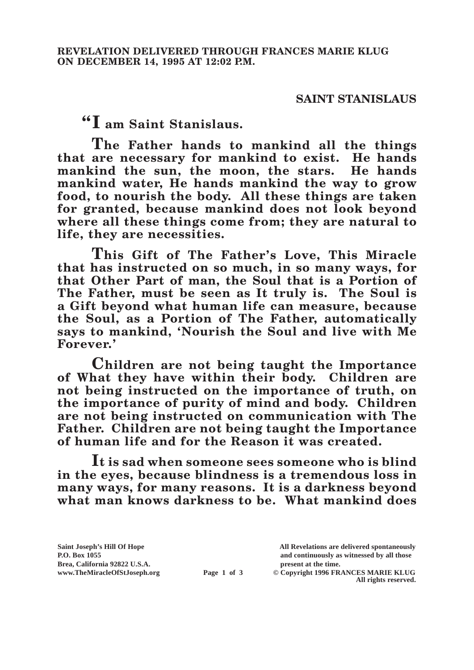## **SAINT STANISLAUS**

**"I am Saint Stanislaus.**

**The Father hands to mankind all the things that are necessary for mankind to exist. He hands mankind the sun, the moon, the stars. He hands mankind water, He hands mankind the way to grow food, to nourish the body. All these things are taken for granted, because mankind does not look beyond where all these things come from; they are natural to life, they are necessities.**

**This Gift of The Father's Love, This Miracle that has instructed on so much, in so many ways, for that Other Part of man, the Soul that is a Portion of The Father, must be seen as It truly is. The Soul is a Gift beyond what human life can measure, because the Soul, as a Portion of The Father, automatically says to mankind, 'Nourish the Soul and live with Me Forever.'**

**Children are not being taught the Importance of What they have within their body. Children are not being instructed on the importance of truth, on the importance of purity of mind and body. Children are not being instructed on communication with The Father. Children are not being taught the Importance of human life and for the Reason it was created.**

**It is sad when someone sees someone who is blind in the eyes, because blindness is a tremendous loss in many ways, for many reasons. It is a darkness beyond what man knows darkness to be. What mankind does** 

Brea, California 92822 U.S.A.<br>
www.TheMiracleOfStJoseph.org<br> **Page 1 of 3** © Copyright 1996 FR.

**Saint Joseph's Hill Of Hope All Revelations are delivered spontaneously P.O. Box 1055 and continuously as witnessed by all those** 

**Page 1 of 3** © Copyright 1996 FRANCES MARIE KLUG **All rights reserved.**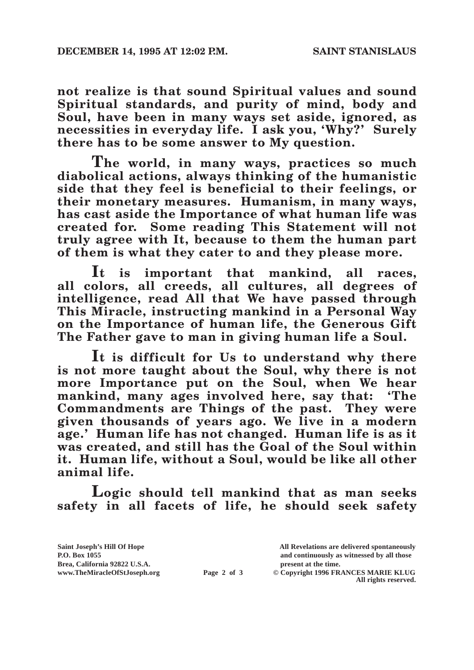**not realize is that sound Spiritual values and sound Spiritual standards, and purity of mind, body and Soul, have been in many ways set aside, ignored, as necessities in everyday life. I ask you, 'Why?' Surely there has to be some answer to My question.**

**The world, in many ways, practices so much diabolical actions, always thinking of the humanistic side that they feel is beneficial to their feelings, or their monetary measures. Humanism, in many ways, has cast aside the Importance of what human life was created for. Some reading This Statement will not truly agree with It, because to them the human part of them is what they cater to and they please more.**

**It is important that mankind, all races, all colors, all creeds, all cultures, all degrees of intelligence, read All that We have passed through This Miracle, instructing mankind in a Personal Way on the Importance of human life, the Generous Gift The Father gave to man in giving human life a Soul.**

**It is difficult for Us to understand why there is not more taught about the Soul, why there is not more Importance put on the Soul, when We hear**  mankind, many ages involved here, say that: 'The **Commandments are Things of the past. They were given thousands of years ago. We live in a modern age.' Human life has not changed. Human life is as it was created, and still has the Goal of the Soul within it. Human life, without a Soul, would be like all other animal life.**

**Logic should tell mankind that as man seeks safety in all facets of life, he should seek safety** 

**Saint Joseph's Hill Of Hope All Revelations are delivered spontaneously P.O. Box 1055 and continuously as witnessed by all those**  Brea, California 92822 U.S.A.<br>
www.TheMiracleOfStJoseph.org<br> **Page 2 of 3** © Copyright 1996 FR. **Page 2 of 3** © Copyright 1996 FRANCES MARIE KLUG **All rights reserved.**